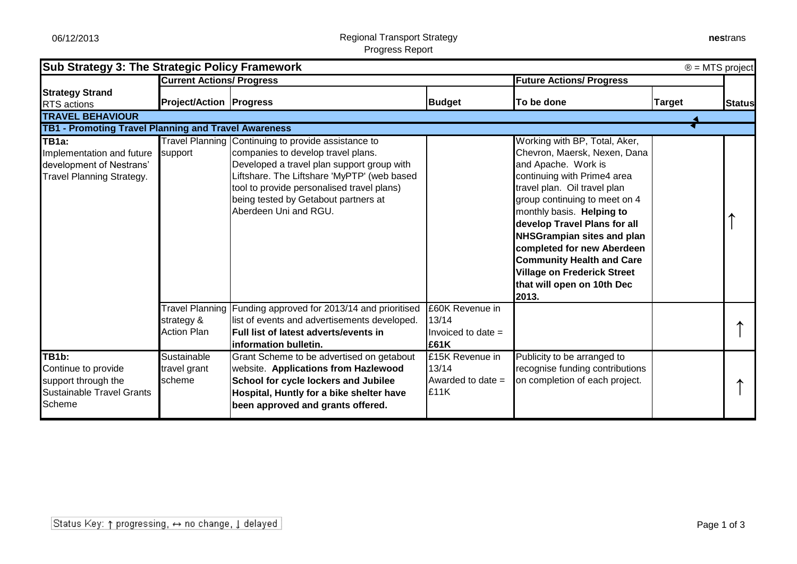| <b>Sub Strategy 3: The Strategic Policy Framework</b><br>$\circledR$ = MTS project                       |                                                       |                                                                                                                                                                                                                                                                                                       |                                                          |                                                                                                                                                                                                                                                                                                                                                                                                                                       |               |               |
|----------------------------------------------------------------------------------------------------------|-------------------------------------------------------|-------------------------------------------------------------------------------------------------------------------------------------------------------------------------------------------------------------------------------------------------------------------------------------------------------|----------------------------------------------------------|---------------------------------------------------------------------------------------------------------------------------------------------------------------------------------------------------------------------------------------------------------------------------------------------------------------------------------------------------------------------------------------------------------------------------------------|---------------|---------------|
|                                                                                                          | <b>Current Actions/ Progress</b>                      |                                                                                                                                                                                                                                                                                                       |                                                          | <b>Future Actions/ Progress</b>                                                                                                                                                                                                                                                                                                                                                                                                       |               |               |
| <b>Strategy Strand</b><br><b>RTS</b> actions                                                             | <b>Project/Action   Progress</b>                      |                                                                                                                                                                                                                                                                                                       | <b>Budget</b>                                            | To be done                                                                                                                                                                                                                                                                                                                                                                                                                            | <b>Target</b> | <b>Status</b> |
| <b>TRAVEL BEHAVIOUR</b>                                                                                  |                                                       |                                                                                                                                                                                                                                                                                                       |                                                          |                                                                                                                                                                                                                                                                                                                                                                                                                                       |               |               |
| TB1 - Promoting Travel Planning and Travel Awareness                                                     |                                                       |                                                                                                                                                                                                                                                                                                       |                                                          |                                                                                                                                                                                                                                                                                                                                                                                                                                       |               |               |
| TB1a:<br>Implementation and future<br>development of Nestrans'<br><b>Travel Planning Strategy.</b>       | support                                               | Travel Planning Continuing to provide assistance to<br>companies to develop travel plans.<br>Developed a travel plan support group with<br>Liftshare. The Liftshare 'MyPTP' (web based<br>tool to provide personalised travel plans)<br>being tested by Getabout partners at<br>Aberdeen Uni and RGU. |                                                          | Working with BP, Total, Aker,<br>Chevron, Maersk, Nexen, Dana<br>and Apache. Work is<br>continuing with Prime4 area<br>travel plan. Oil travel plan<br>group continuing to meet on 4<br>monthly basis. Helping to<br>develop Travel Plans for all<br><b>NHSGrampian sites and plan</b><br>completed for new Aberdeen<br><b>Community Health and Care</b><br><b>Village on Frederick Street</b><br>that will open on 10th Dec<br>2013. |               |               |
|                                                                                                          | Travel Planning  <br>strategy &<br><b>Action Plan</b> | Funding approved for 2013/14 and prioritised<br>list of events and advertisements developed.<br>Full list of latest adverts/events in<br>information bulletin.                                                                                                                                        | £60K Revenue in<br>13/14<br>Invoiced to date $=$<br>£61K |                                                                                                                                                                                                                                                                                                                                                                                                                                       |               |               |
| TB1b:<br>Continue to provide<br>support through the<br><b>Sustainable Travel Grants</b><br><b>Scheme</b> | Sustainable<br>travel grant<br>scheme                 | Grant Scheme to be advertised on getabout<br>website. Applications from Hazlewood<br>School for cycle lockers and Jubilee<br>Hospital, Huntly for a bike shelter have<br>been approved and grants offered.                                                                                            | £15K Revenue in<br>13/14<br>Awarded to date $=$<br>£11K  | Publicity to be arranged to<br>recognise funding contributions<br>on completion of each project.                                                                                                                                                                                                                                                                                                                                      |               |               |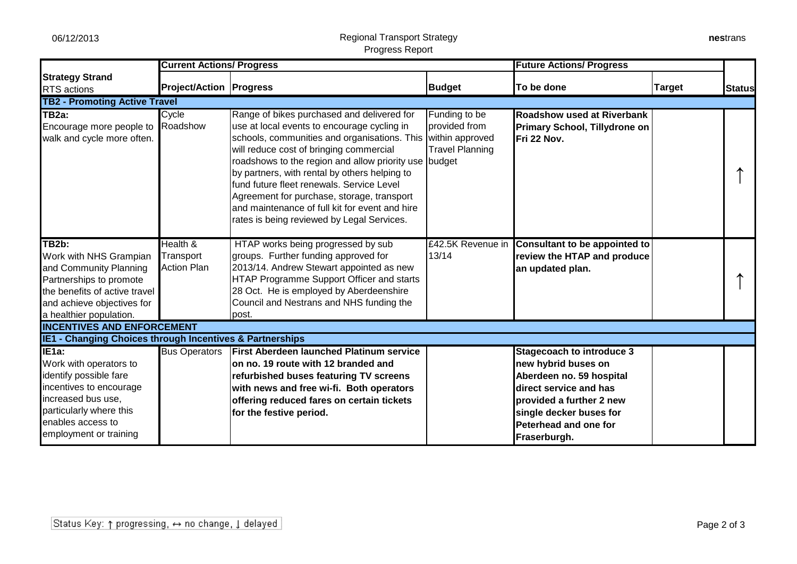enables access to employment or training

## 06/12/2013 Regional Transport Strategy Progress Report

|                                                                                                                                                                                                     | <b>Current Actions/ Progress</b>            |                                                                                                                                                                                                                                                                                                                                                                                                                                                                                           |                                                                             | <b>Future Actions/ Progress</b>                                                                                                                                       |               |               |
|-----------------------------------------------------------------------------------------------------------------------------------------------------------------------------------------------------|---------------------------------------------|-------------------------------------------------------------------------------------------------------------------------------------------------------------------------------------------------------------------------------------------------------------------------------------------------------------------------------------------------------------------------------------------------------------------------------------------------------------------------------------------|-----------------------------------------------------------------------------|-----------------------------------------------------------------------------------------------------------------------------------------------------------------------|---------------|---------------|
| <b>Strategy Strand</b><br><b>RTS</b> actions                                                                                                                                                        | <b>Project/Action   Progress</b>            |                                                                                                                                                                                                                                                                                                                                                                                                                                                                                           | <b>Budget</b>                                                               | To be done                                                                                                                                                            | <b>Target</b> | <b>Status</b> |
| <b>TB2 - Promoting Active Travel</b>                                                                                                                                                                |                                             |                                                                                                                                                                                                                                                                                                                                                                                                                                                                                           |                                                                             |                                                                                                                                                                       |               |               |
| TB2a:<br>Encourage more people to Roadshow<br>walk and cycle more often.                                                                                                                            | Cycle                                       | Range of bikes purchased and delivered for<br>use at local events to encourage cycling in<br>schools, communities and organisations. This<br>will reduce cost of bringing commercial<br>roadshows to the region and allow priority use budget<br>by partners, with rental by others helping to<br>fund future fleet renewals. Service Level<br>Agreement for purchase, storage, transport<br>and maintenance of full kit for event and hire<br>rates is being reviewed by Legal Services. | Funding to be<br>provided from<br>within approved<br><b>Travel Planning</b> | <b>Roadshow used at Riverbank</b><br>Primary School, Tillydrone on<br>Fri 22 Nov.                                                                                     |               |               |
| $\overline{\text{TB2b}}$ :<br>Work with NHS Grampian<br>and Community Planning<br>Partnerships to promote<br>the benefits of active travel<br>and achieve objectives for<br>a healthier population. | Health &<br>Transport<br><b>Action Plan</b> | HTAP works being progressed by sub<br>groups. Further funding approved for<br>2013/14. Andrew Stewart appointed as new<br>HTAP Programme Support Officer and starts<br>28 Oct. He is employed by Aberdeenshire<br>Council and Nestrans and NHS funding the<br>post.                                                                                                                                                                                                                       | £42.5K Revenue in<br>13/14                                                  | Consultant to be appointed to<br>review the HTAP and produce<br>an updated plan.                                                                                      |               |               |
| <b>INCENTIVES AND ENFORCEMENT</b>                                                                                                                                                                   |                                             |                                                                                                                                                                                                                                                                                                                                                                                                                                                                                           |                                                                             |                                                                                                                                                                       |               |               |
| IE1 - Changing Choices through Incentives & Partnerships                                                                                                                                            |                                             |                                                                                                                                                                                                                                                                                                                                                                                                                                                                                           |                                                                             |                                                                                                                                                                       |               |               |
| IE <sub>1a</sub> :<br>Work with operators to<br>identify possible fare<br>incentives to encourage<br>increased bus use.<br>particularly where this                                                  | <b>Bus Operators</b>                        | <b>First Aberdeen launched Platinum service</b><br>on no. 19 route with 12 branded and<br>refurbished buses featuring TV screens<br>with news and free wi-fi. Both operators<br>offering reduced fares on certain tickets<br>for the festive neriod                                                                                                                                                                                                                                       |                                                                             | <b>Stagecoach to introduce 3</b><br>new hybrid buses on<br>Aberdeen no. 59 hospital<br>direct service and has<br>provided a further 2 new<br>lsinale decker buses for |               |               |

**single decker buses for Peterhead and one for** 

**Fraserburgh.**

**for the festive period.**